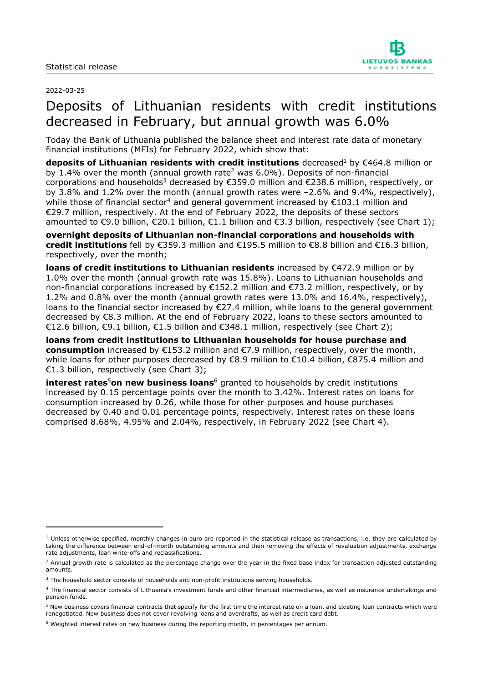

#### 2022-03-25

# Deposits of Lithuanian residents with credit institutions decreased in February, but annual growth was 6.0%

Today the Bank of Lithuania published the balance sheet and interest rate data of monetary financial institutions (MFIs) for February 2022, which show that:

**deposits of Lithuanian residents with credit institutions** decreased<sup>1</sup> by €464.8 million or by 1.4% over the month (annual growth rate<sup>2</sup> was 6.0%). Deposits of non-financial corporations and households<sup>3</sup> decreased by €359.0 million and €238.6 million, respectively, or by 3.8% and 1.2% over the month (annual growth rates were –2.6% and 9.4%, respectively), while those of financial sector<sup>4</sup> and general government increased by  $\epsilon$ 103.1 million and €29.7 million, respectively. At the end of February 2022, the deposits of these sectors amounted to €9.0 billion, €20.1 billion, €1.1 billion and €3.3 billion, respectively (see Chart 1);

**overnight deposits of Lithuanian non-financial corporations and households with credit institutions** fell by €359.3 million and €195.5 million to €8.8 billion and €16.3 billion, respectively, over the month;

**loans of credit institutions to Lithuanian residents** increased by €472.9 million or by 1.0% over the month (annual growth rate was 15.8%). Loans to Lithuanian households and non-financial corporations increased by €152.2 million and €73.2 million, respectively, or by 1.2% and 0.8% over the month (annual growth rates were 13.0% and 16.4%, respectively), loans to the financial sector increased by €27.4 million, while loans to the general government decreased by €8.3 million. At the end of February 2022, loans to these sectors amounted to €12.6 billion, €9.1 billion, €1.5 billion and €348.1 million, respectively (see Chart 2);

**loans from credit institutions to Lithuanian households for house purchase and consumption** increased by €153.2 million and €7.9 million, respectively, over the month, while loans for other purposes decreased by €8.9 million to €10.4 billion, €875.4 million and €1.3 billion, respectively (see Chart 3);

**interest rates<sup>5</sup>on new business loans<sup>6</sup> granted to households by credit institutions** increased by 0.15 percentage points over the month to 3.42%. Interest rates on loans for consumption increased by 0.26, while those for other purposes and house purchases decreased by 0.40 and 0.01 percentage points, respectively. Interest rates on these loans comprised 8.68%, 4.95% and 2.04%, respectively, in February 2022 (see Chart 4).

 $<sup>1</sup>$  Unless otherwise specified, monthly changes in euro are reported in the statistical release as transactions, i.e. they are calculated by</sup> taking the difference between end-of-month outstanding amounts and then removing the effects of revaluation adjustments, exchange rate adjustments, loan write-offs and reclassifications.

 $2$  Annual growth rate is calculated as the percentage change over the year in the fixed base index for transaction adjusted outstanding amounts.

<sup>&</sup>lt;sup>3</sup> The household sector consists of households and non-profit institutions serving households.

<sup>4</sup> The financial sector consists of Lithuania's investment funds and other financial intermediaries, as well as insurance undertakings and pension funds.

<sup>&</sup>lt;sup>5</sup> New business covers financial contracts that specify for the first time the interest rate on a loan, and existing loan contracts which were renegotiated. New business does not cover revolving loans and overdrafts, as well as credit card debt.

<sup>6</sup> Weighted interest rates on new business during the reporting month, in percentages per annum.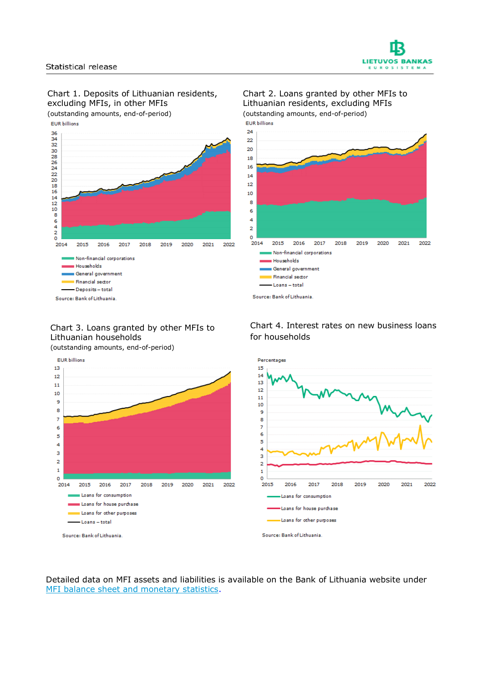



EUR billions



#### Chart 2. Loans granted by other MFIs to Lithuanian residents, excluding MFIs (outstanding amounts, end-of-period)



## Chart 3. Loans granted by other MFIs to Lithuanian households

(outstanding amounts, end-of-period)



Detailed data on MFI assets and liabilities is available on the Bank of Lithuania website under [MFI balance sheet and monetary statistics.](https://www.lb.lt/en/mfi-balance-sheet-and-monetary-statistics)

### Chart 4. Interest rates on new business loans for households